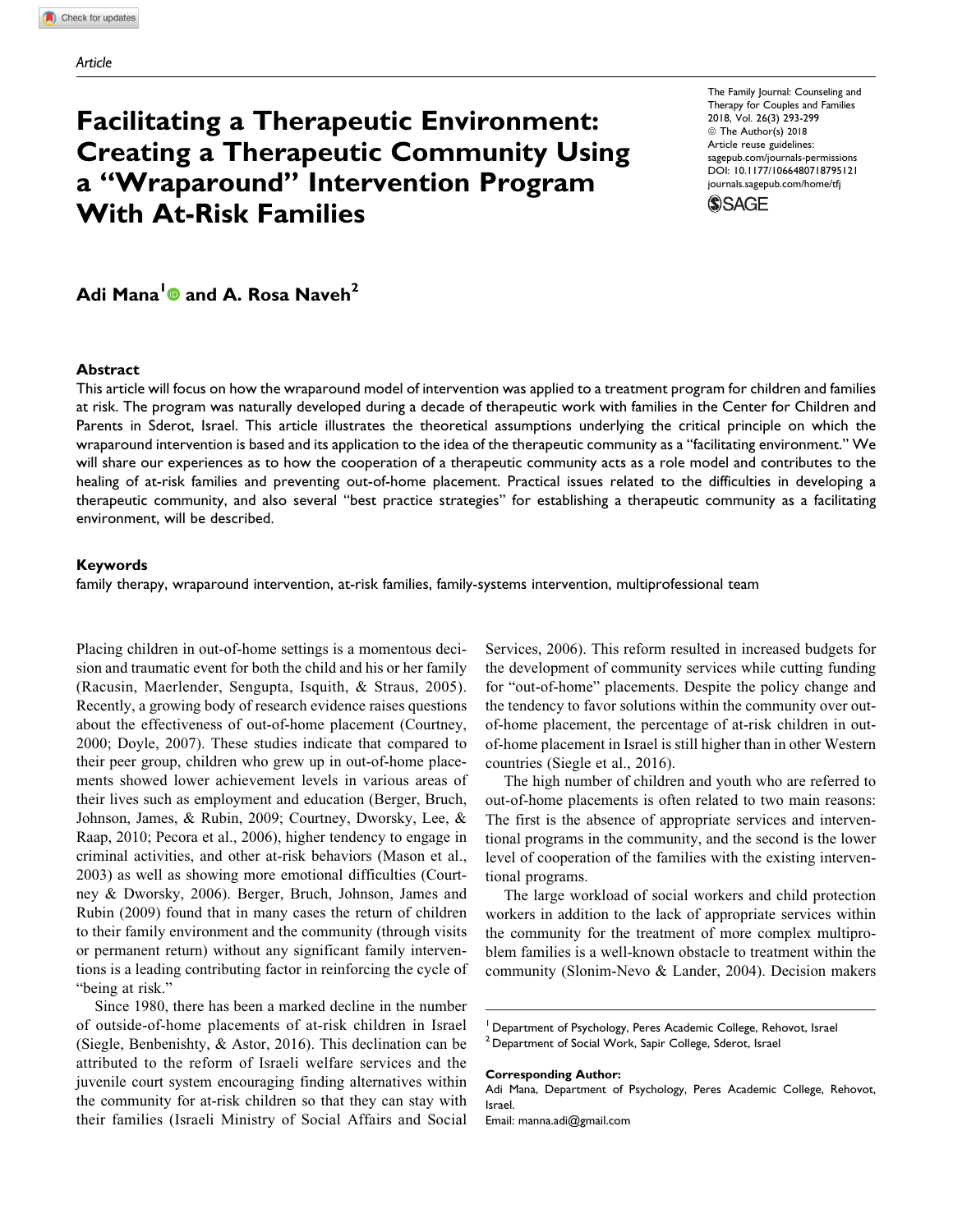# Facilitating a Therapeutic Environment: Creating a Therapeutic Community Using a "Wraparound" Intervention Program With At-Risk Families

The Family Journal: Counseling and Therapy for Couples and Families 2018, Vol. 26(3) 293-299 © The Author(s) 2018 Article reuse guidelines: [sagepub.com/journals-permissions](https://sagepub.com/journals-permissions) [DOI: 10.1177/1066480718795121](https://doi.org/10.1177/1066480718795121) [journals.sagepub.com/home/tfj](http://journals.sagepub.com/home/tfj)



Adi Mana<sup>[1](http://orcid.org/0000-0001-7733-7937)</sup> and A. Rosa Naveh<sup>2</sup>

#### **Abstract**

This article will focus on how the wraparound model of intervention was applied to a treatment program for children and families at risk. The program was naturally developed during a decade of therapeutic work with families in the Center for Children and Parents in Sderot, Israel. This article illustrates the theoretical assumptions underlying the critical principle on which the wraparound intervention is based and its application to the idea of the therapeutic community as a "facilitating environment." We will share our experiences as to how the cooperation of a therapeutic community acts as a role model and contributes to the healing of at-risk families and preventing out-of-home placement. Practical issues related to the difficulties in developing a therapeutic community, and also several "best practice strategies" for establishing a therapeutic community as a facilitating environment, will be described.

#### Keywords

family therapy, wraparound intervention, at-risk families, family-systems intervention, multiprofessional team

Placing children in out-of-home settings is a momentous decision and traumatic event for both the child and his or her family (Racusin, Maerlender, Sengupta, Isquith, & Straus, 2005). Recently, a growing body of research evidence raises questions about the effectiveness of out-of-home placement (Courtney, 2000; Doyle, 2007). These studies indicate that compared to their peer group, children who grew up in out-of-home placements showed lower achievement levels in various areas of their lives such as employment and education (Berger, Bruch, Johnson, James, & Rubin, 2009; Courtney, Dworsky, Lee, & Raap, 2010; Pecora et al., 2006), higher tendency to engage in criminal activities, and other at-risk behaviors (Mason et al., 2003) as well as showing more emotional difficulties (Courtney & Dworsky, 2006). Berger, Bruch, Johnson, James and Rubin (2009) found that in many cases the return of children to their family environment and the community (through visits or permanent return) without any significant family interventions is a leading contributing factor in reinforcing the cycle of "being at risk."

Since 1980, there has been a marked decline in the number of outside-of-home placements of at-risk children in Israel (Siegle, Benbenishty, & Astor, 2016). This declination can be attributed to the reform of Israeli welfare services and the juvenile court system encouraging finding alternatives within the community for at-risk children so that they can stay with their families (Israeli Ministry of Social Affairs and Social

Services, 2006). This reform resulted in increased budgets for the development of community services while cutting funding for "out-of-home" placements. Despite the policy change and the tendency to favor solutions within the community over outof-home placement, the percentage of at-risk children in outof-home placement in Israel is still higher than in other Western countries (Siegle et al., 2016).

The high number of children and youth who are referred to out-of-home placements is often related to two main reasons: The first is the absence of appropriate services and interventional programs in the community, and the second is the lower level of cooperation of the families with the existing interventional programs.

The large workload of social workers and child protection workers in addition to the lack of appropriate services within the community for the treatment of more complex multiproblem families is a well-known obstacle to treatment within the community (Slonim-Nevo & Lander, 2004). Decision makers

#### Corresponding Author:

Adi Mana, Department of Psychology, Peres Academic College, Rehovot, Israel.

Email: [manna.adi@gmail.com](mailto:manna.adi@gmail.com)

<sup>&</sup>lt;sup>1</sup> Department of Psychology, Peres Academic College, Rehovot, Israel  $^2$  Department of Social Work, Sapir College, Sderot, Israel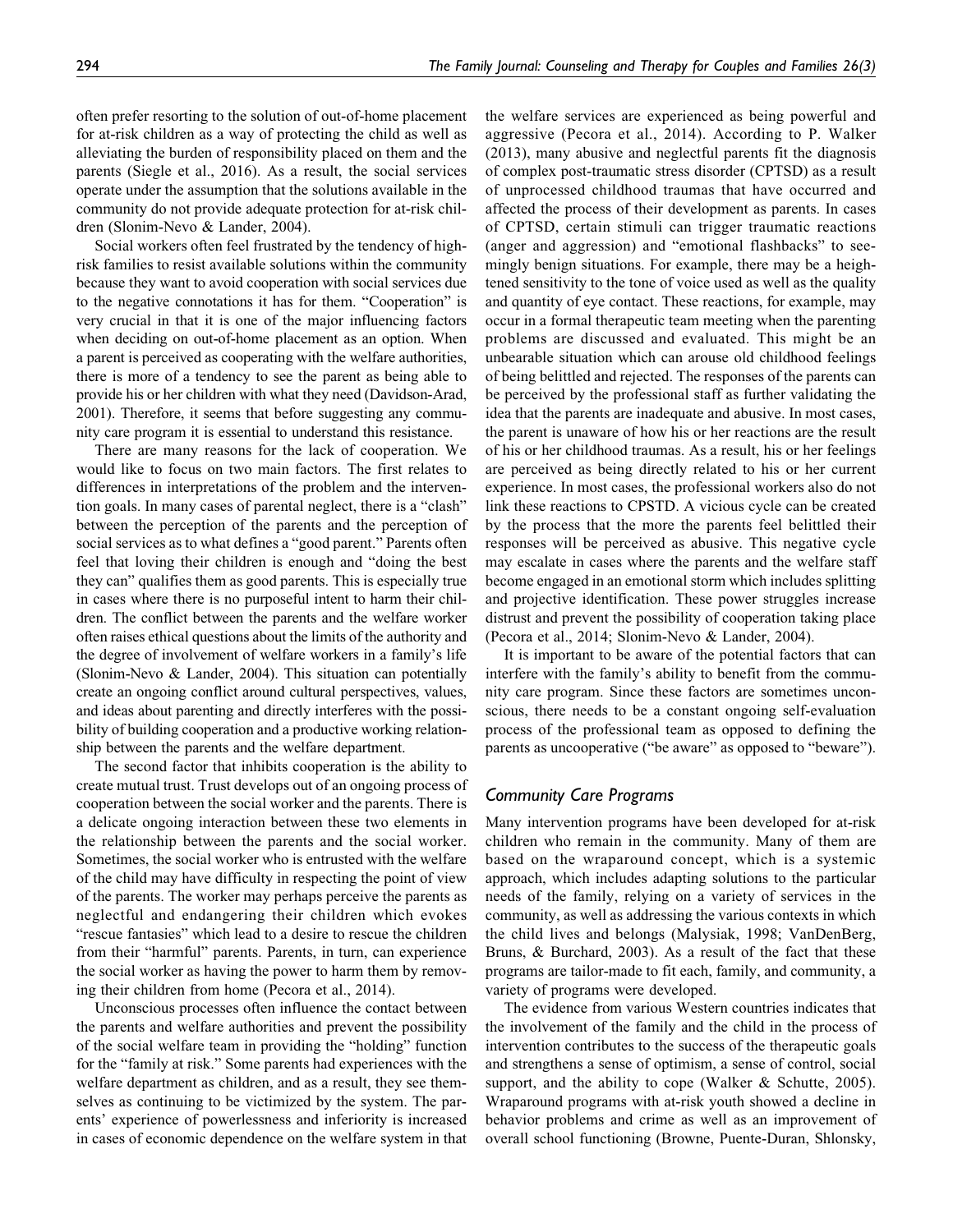often prefer resorting to the solution of out-of-home placement for at-risk children as a way of protecting the child as well as alleviating the burden of responsibility placed on them and the parents (Siegle et al., 2016). As a result, the social services operate under the assumption that the solutions available in the community do not provide adequate protection for at-risk children (Slonim-Nevo & Lander, 2004).

Social workers often feel frustrated by the tendency of highrisk families to resist available solutions within the community because they want to avoid cooperation with social services due to the negative connotations it has for them. "Cooperation" is very crucial in that it is one of the major influencing factors when deciding on out-of-home placement as an option. When a parent is perceived as cooperating with the welfare authorities, there is more of a tendency to see the parent as being able to provide his or her children with what they need (Davidson-Arad, 2001). Therefore, it seems that before suggesting any community care program it is essential to understand this resistance.

There are many reasons for the lack of cooperation. We would like to focus on two main factors. The first relates to differences in interpretations of the problem and the intervention goals. In many cases of parental neglect, there is a "clash" between the perception of the parents and the perception of social services as to what defines a "good parent." Parents often feel that loving their children is enough and "doing the best they can" qualifies them as good parents. This is especially true in cases where there is no purposeful intent to harm their children. The conflict between the parents and the welfare worker often raises ethical questions about the limits of the authority and the degree of involvement of welfare workers in a family's life (Slonim-Nevo & Lander, 2004). This situation can potentially create an ongoing conflict around cultural perspectives, values, and ideas about parenting and directly interferes with the possibility of building cooperation and a productive working relationship between the parents and the welfare department.

The second factor that inhibits cooperation is the ability to create mutual trust. Trust develops out of an ongoing process of cooperation between the social worker and the parents. There is a delicate ongoing interaction between these two elements in the relationship between the parents and the social worker. Sometimes, the social worker who is entrusted with the welfare of the child may have difficulty in respecting the point of view of the parents. The worker may perhaps perceive the parents as neglectful and endangering their children which evokes "rescue fantasies" which lead to a desire to rescue the children from their "harmful" parents. Parents, in turn, can experience the social worker as having the power to harm them by removing their children from home (Pecora et al., 2014).

Unconscious processes often influence the contact between the parents and welfare authorities and prevent the possibility of the social welfare team in providing the "holding" function for the "family at risk." Some parents had experiences with the welfare department as children, and as a result, they see themselves as continuing to be victimized by the system. The parents' experience of powerlessness and inferiority is increased in cases of economic dependence on the welfare system in that the welfare services are experienced as being powerful and aggressive (Pecora et al., 2014). According to P. Walker (2013), many abusive and neglectful parents fit the diagnosis of complex post-traumatic stress disorder (CPTSD) as a result of unprocessed childhood traumas that have occurred and affected the process of their development as parents. In cases of CPTSD, certain stimuli can trigger traumatic reactions (anger and aggression) and "emotional flashbacks" to seemingly benign situations. For example, there may be a heightened sensitivity to the tone of voice used as well as the quality and quantity of eye contact. These reactions, for example, may occur in a formal therapeutic team meeting when the parenting problems are discussed and evaluated. This might be an unbearable situation which can arouse old childhood feelings of being belittled and rejected. The responses of the parents can be perceived by the professional staff as further validating the idea that the parents are inadequate and abusive. In most cases, the parent is unaware of how his or her reactions are the result of his or her childhood traumas. As a result, his or her feelings are perceived as being directly related to his or her current experience. In most cases, the professional workers also do not link these reactions to CPSTD. A vicious cycle can be created by the process that the more the parents feel belittled their responses will be perceived as abusive. This negative cycle may escalate in cases where the parents and the welfare staff become engaged in an emotional storm which includes splitting and projective identification. These power struggles increase distrust and prevent the possibility of cooperation taking place (Pecora et al., 2014; Slonim-Nevo & Lander, 2004).

It is important to be aware of the potential factors that can interfere with the family's ability to benefit from the community care program. Since these factors are sometimes unconscious, there needs to be a constant ongoing self-evaluation process of the professional team as opposed to defining the parents as uncooperative ("be aware" as opposed to "beware").

## Community Care Programs

Many intervention programs have been developed for at-risk children who remain in the community. Many of them are based on the wraparound concept, which is a systemic approach, which includes adapting solutions to the particular needs of the family, relying on a variety of services in the community, as well as addressing the various contexts in which the child lives and belongs (Malysiak, 1998; VanDenBerg, Bruns, & Burchard, 2003). As a result of the fact that these programs are tailor-made to fit each, family, and community, a variety of programs were developed.

The evidence from various Western countries indicates that the involvement of the family and the child in the process of intervention contributes to the success of the therapeutic goals and strengthens a sense of optimism, a sense of control, social support, and the ability to cope (Walker  $\&$  Schutte, 2005). Wraparound programs with at-risk youth showed a decline in behavior problems and crime as well as an improvement of overall school functioning (Browne, Puente-Duran, Shlonsky,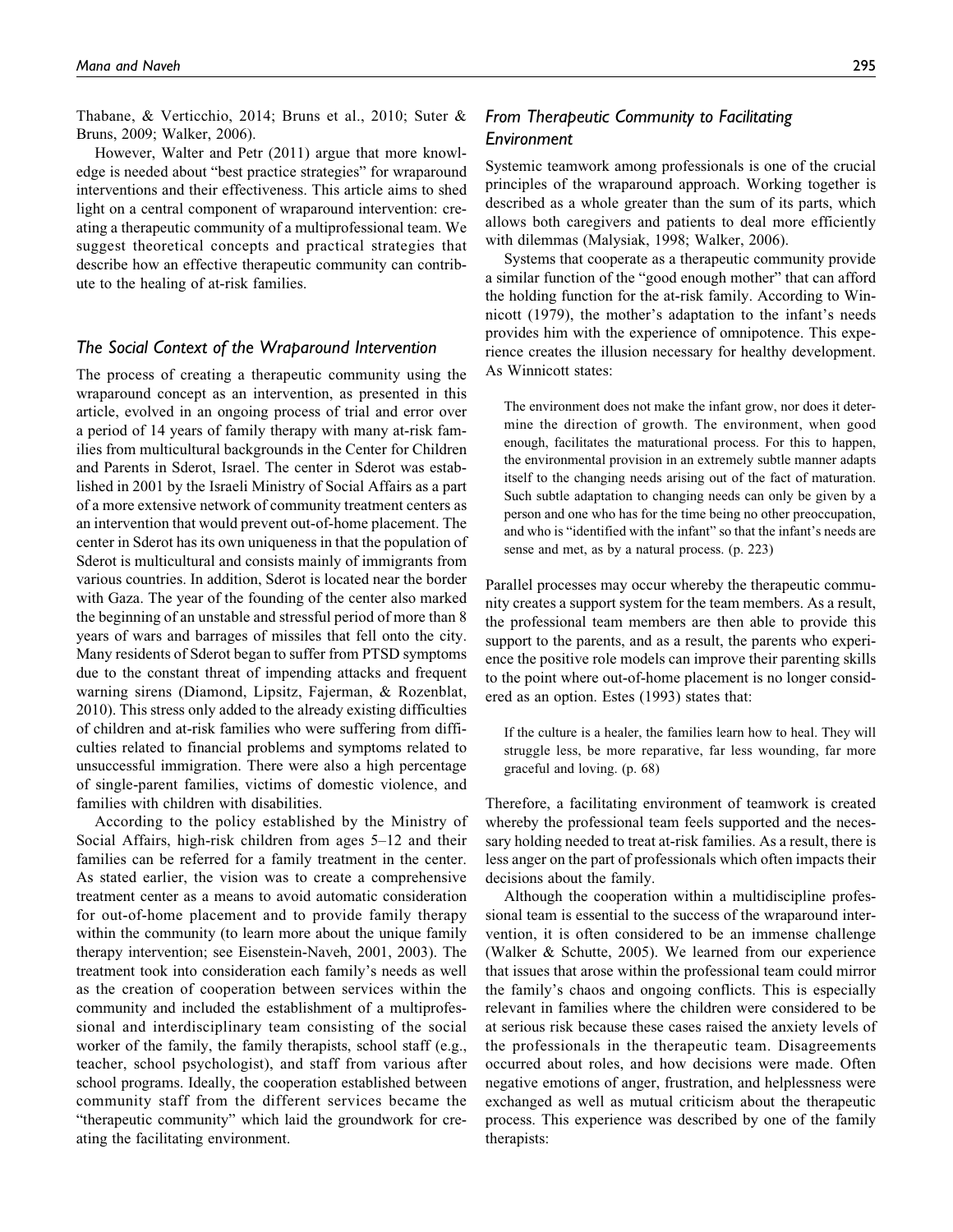Thabane, & Verticchio, 2014; Bruns et al., 2010; Suter & Bruns, 2009; Walker, 2006).

However, Walter and Petr (2011) argue that more knowledge is needed about "best practice strategies" for wraparound interventions and their effectiveness. This article aims to shed light on a central component of wraparound intervention: creating a therapeutic community of a multiprofessional team. We suggest theoretical concepts and practical strategies that describe how an effective therapeutic community can contribute to the healing of at-risk families.

#### The Social Context of the Wraparound Intervention

The process of creating a therapeutic community using the wraparound concept as an intervention, as presented in this article, evolved in an ongoing process of trial and error over a period of 14 years of family therapy with many at-risk families from multicultural backgrounds in the Center for Children and Parents in Sderot, Israel. The center in Sderot was established in 2001 by the Israeli Ministry of Social Affairs as a part of a more extensive network of community treatment centers as an intervention that would prevent out-of-home placement. The center in Sderot has its own uniqueness in that the population of Sderot is multicultural and consists mainly of immigrants from various countries. In addition, Sderot is located near the border with Gaza. The year of the founding of the center also marked the beginning of an unstable and stressful period of more than 8 years of wars and barrages of missiles that fell onto the city. Many residents of Sderot began to suffer from PTSD symptoms due to the constant threat of impending attacks and frequent warning sirens (Diamond, Lipsitz, Fajerman, & Rozenblat, 2010). This stress only added to the already existing difficulties of children and at-risk families who were suffering from difficulties related to financial problems and symptoms related to unsuccessful immigration. There were also a high percentage of single-parent families, victims of domestic violence, and families with children with disabilities.

According to the policy established by the Ministry of Social Affairs, high-risk children from ages 5–12 and their families can be referred for a family treatment in the center. As stated earlier, the vision was to create a comprehensive treatment center as a means to avoid automatic consideration for out-of-home placement and to provide family therapy within the community (to learn more about the unique family therapy intervention; see Eisenstein-Naveh, 2001, 2003). The treatment took into consideration each family's needs as well as the creation of cooperation between services within the community and included the establishment of a multiprofessional and interdisciplinary team consisting of the social worker of the family, the family therapists, school staff (e.g., teacher, school psychologist), and staff from various after school programs. Ideally, the cooperation established between community staff from the different services became the "therapeutic community" which laid the groundwork for creating the facilitating environment.

## From Therapeutic Community to Facilitating Environment

Systemic teamwork among professionals is one of the crucial principles of the wraparound approach. Working together is described as a whole greater than the sum of its parts, which allows both caregivers and patients to deal more efficiently with dilemmas (Malysiak, 1998; Walker, 2006).

Systems that cooperate as a therapeutic community provide a similar function of the "good enough mother" that can afford the holding function for the at-risk family. According to Winnicott (1979), the mother's adaptation to the infant's needs provides him with the experience of omnipotence. This experience creates the illusion necessary for healthy development. As Winnicott states:

The environment does not make the infant grow, nor does it determine the direction of growth. The environment, when good enough, facilitates the maturational process. For this to happen, the environmental provision in an extremely subtle manner adapts itself to the changing needs arising out of the fact of maturation. Such subtle adaptation to changing needs can only be given by a person and one who has for the time being no other preoccupation, and who is "identified with the infant" so that the infant's needs are sense and met, as by a natural process. (p. 223)

Parallel processes may occur whereby the therapeutic community creates a support system for the team members. As a result, the professional team members are then able to provide this support to the parents, and as a result, the parents who experience the positive role models can improve their parenting skills to the point where out-of-home placement is no longer considered as an option. Estes (1993) states that:

If the culture is a healer, the families learn how to heal. They will struggle less, be more reparative, far less wounding, far more graceful and loving. (p. 68)

Therefore, a facilitating environment of teamwork is created whereby the professional team feels supported and the necessary holding needed to treat at-risk families. As a result, there is less anger on the part of professionals which often impacts their decisions about the family.

Although the cooperation within a multidiscipline professional team is essential to the success of the wraparound intervention, it is often considered to be an immense challenge (Walker & Schutte, 2005). We learned from our experience that issues that arose within the professional team could mirror the family's chaos and ongoing conflicts. This is especially relevant in families where the children were considered to be at serious risk because these cases raised the anxiety levels of the professionals in the therapeutic team. Disagreements occurred about roles, and how decisions were made. Often negative emotions of anger, frustration, and helplessness were exchanged as well as mutual criticism about the therapeutic process. This experience was described by one of the family therapists: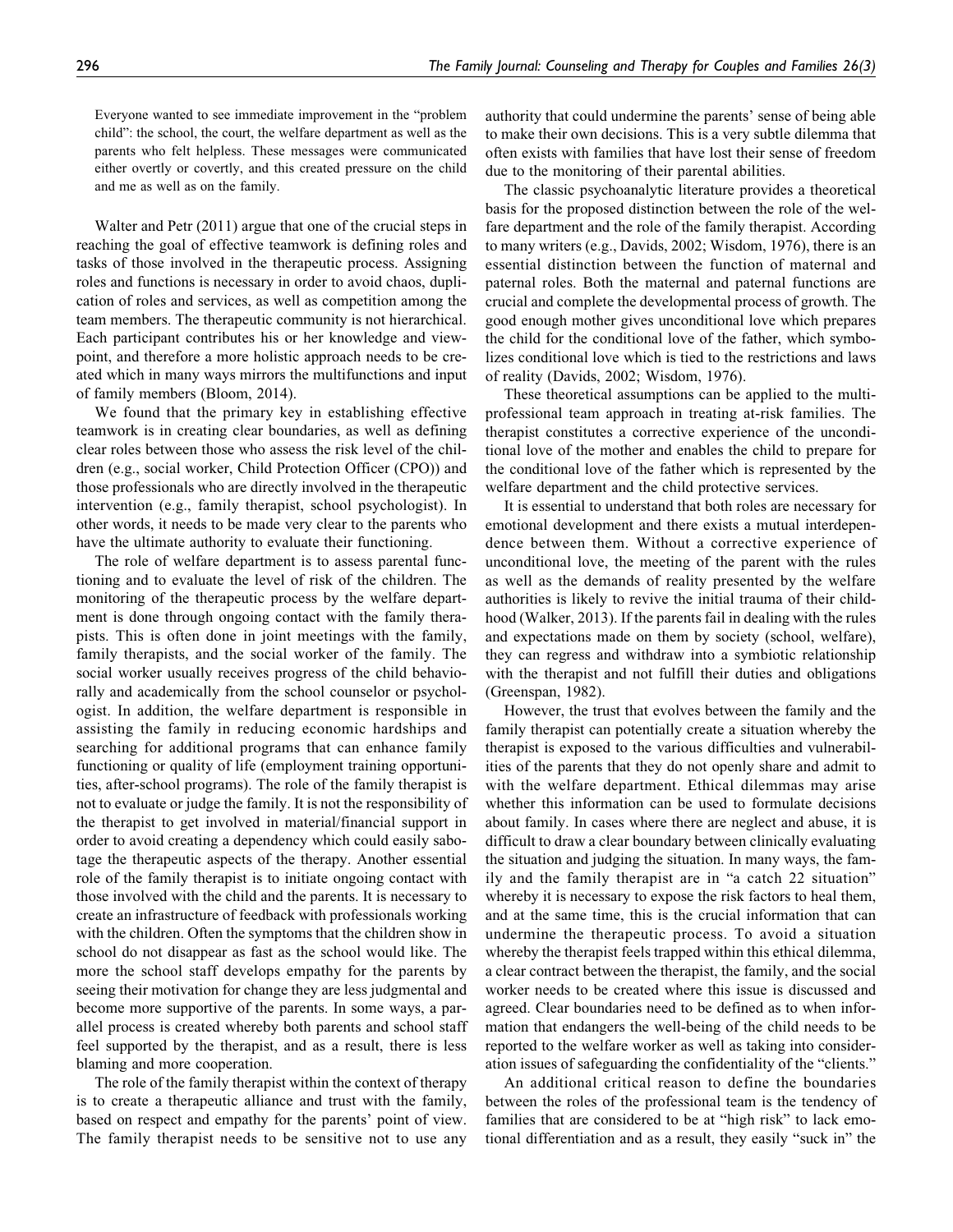Everyone wanted to see immediate improvement in the "problem child": the school, the court, the welfare department as well as the parents who felt helpless. These messages were communicated either overtly or covertly, and this created pressure on the child and me as well as on the family.

Walter and Petr (2011) argue that one of the crucial steps in reaching the goal of effective teamwork is defining roles and tasks of those involved in the therapeutic process. Assigning roles and functions is necessary in order to avoid chaos, duplication of roles and services, as well as competition among the team members. The therapeutic community is not hierarchical. Each participant contributes his or her knowledge and viewpoint, and therefore a more holistic approach needs to be created which in many ways mirrors the multifunctions and input of family members (Bloom, 2014).

We found that the primary key in establishing effective teamwork is in creating clear boundaries, as well as defining clear roles between those who assess the risk level of the children (e.g., social worker, Child Protection Officer (CPO)) and those professionals who are directly involved in the therapeutic intervention (e.g., family therapist, school psychologist). In other words, it needs to be made very clear to the parents who have the ultimate authority to evaluate their functioning.

The role of welfare department is to assess parental functioning and to evaluate the level of risk of the children. The monitoring of the therapeutic process by the welfare department is done through ongoing contact with the family therapists. This is often done in joint meetings with the family, family therapists, and the social worker of the family. The social worker usually receives progress of the child behaviorally and academically from the school counselor or psychologist. In addition, the welfare department is responsible in assisting the family in reducing economic hardships and searching for additional programs that can enhance family functioning or quality of life (employment training opportunities, after-school programs). The role of the family therapist is not to evaluate or judge the family. It is not the responsibility of the therapist to get involved in material/financial support in order to avoid creating a dependency which could easily sabotage the therapeutic aspects of the therapy. Another essential role of the family therapist is to initiate ongoing contact with those involved with the child and the parents. It is necessary to create an infrastructure of feedback with professionals working with the children. Often the symptoms that the children show in school do not disappear as fast as the school would like. The more the school staff develops empathy for the parents by seeing their motivation for change they are less judgmental and become more supportive of the parents. In some ways, a parallel process is created whereby both parents and school staff feel supported by the therapist, and as a result, there is less blaming and more cooperation.

The role of the family therapist within the context of therapy is to create a therapeutic alliance and trust with the family, based on respect and empathy for the parents' point of view. The family therapist needs to be sensitive not to use any authority that could undermine the parents' sense of being able to make their own decisions. This is a very subtle dilemma that often exists with families that have lost their sense of freedom due to the monitoring of their parental abilities.

The classic psychoanalytic literature provides a theoretical basis for the proposed distinction between the role of the welfare department and the role of the family therapist. According to many writers (e.g., Davids, 2002; Wisdom, 1976), there is an essential distinction between the function of maternal and paternal roles. Both the maternal and paternal functions are crucial and complete the developmental process of growth. The good enough mother gives unconditional love which prepares the child for the conditional love of the father, which symbolizes conditional love which is tied to the restrictions and laws of reality (Davids, 2002; Wisdom, 1976).

These theoretical assumptions can be applied to the multiprofessional team approach in treating at-risk families. The therapist constitutes a corrective experience of the unconditional love of the mother and enables the child to prepare for the conditional love of the father which is represented by the welfare department and the child protective services.

It is essential to understand that both roles are necessary for emotional development and there exists a mutual interdependence between them. Without a corrective experience of unconditional love, the meeting of the parent with the rules as well as the demands of reality presented by the welfare authorities is likely to revive the initial trauma of their childhood (Walker, 2013). If the parents fail in dealing with the rules and expectations made on them by society (school, welfare), they can regress and withdraw into a symbiotic relationship with the therapist and not fulfill their duties and obligations (Greenspan, 1982).

However, the trust that evolves between the family and the family therapist can potentially create a situation whereby the therapist is exposed to the various difficulties and vulnerabilities of the parents that they do not openly share and admit to with the welfare department. Ethical dilemmas may arise whether this information can be used to formulate decisions about family. In cases where there are neglect and abuse, it is difficult to draw a clear boundary between clinically evaluating the situation and judging the situation. In many ways, the family and the family therapist are in "a catch 22 situation" whereby it is necessary to expose the risk factors to heal them, and at the same time, this is the crucial information that can undermine the therapeutic process. To avoid a situation whereby the therapist feels trapped within this ethical dilemma, a clear contract between the therapist, the family, and the social worker needs to be created where this issue is discussed and agreed. Clear boundaries need to be defined as to when information that endangers the well-being of the child needs to be reported to the welfare worker as well as taking into consideration issues of safeguarding the confidentiality of the "clients."

An additional critical reason to define the boundaries between the roles of the professional team is the tendency of families that are considered to be at "high risk" to lack emotional differentiation and as a result, they easily "suck in" the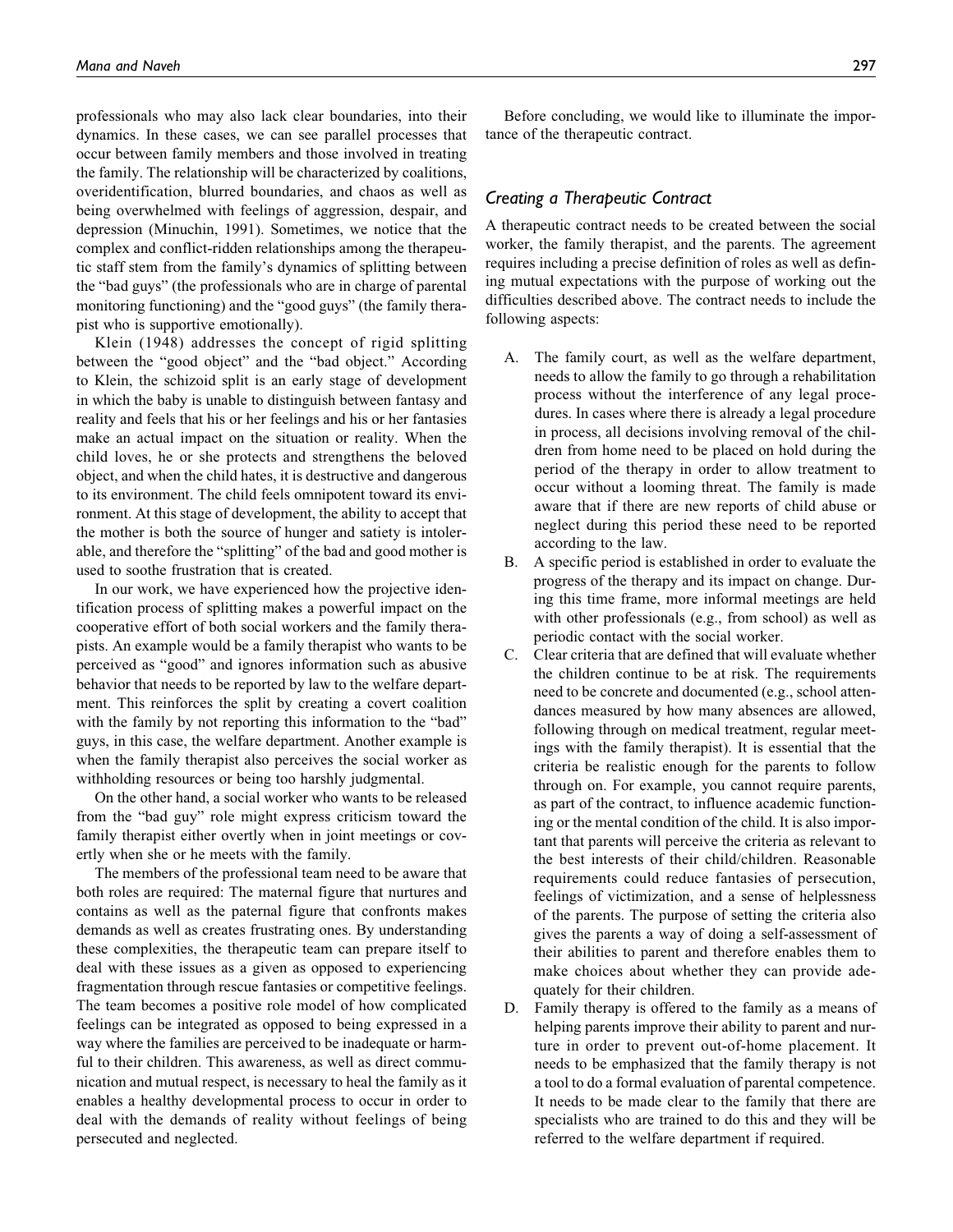professionals who may also lack clear boundaries, into their dynamics. In these cases, we can see parallel processes that occur between family members and those involved in treating the family. The relationship will be characterized by coalitions, overidentification, blurred boundaries, and chaos as well as being overwhelmed with feelings of aggression, despair, and depression (Minuchin, 1991). Sometimes, we notice that the complex and conflict-ridden relationships among the therapeutic staff stem from the family's dynamics of splitting between the "bad guys" (the professionals who are in charge of parental monitoring functioning) and the "good guys" (the family therapist who is supportive emotionally).

Klein (1948) addresses the concept of rigid splitting between the "good object" and the "bad object." According to Klein, the schizoid split is an early stage of development in which the baby is unable to distinguish between fantasy and reality and feels that his or her feelings and his or her fantasies make an actual impact on the situation or reality. When the child loves, he or she protects and strengthens the beloved object, and when the child hates, it is destructive and dangerous to its environment. The child feels omnipotent toward its environment. At this stage of development, the ability to accept that the mother is both the source of hunger and satiety is intolerable, and therefore the "splitting" of the bad and good mother is used to soothe frustration that is created.

In our work, we have experienced how the projective identification process of splitting makes a powerful impact on the cooperative effort of both social workers and the family therapists. An example would be a family therapist who wants to be perceived as "good" and ignores information such as abusive behavior that needs to be reported by law to the welfare department. This reinforces the split by creating a covert coalition with the family by not reporting this information to the "bad" guys, in this case, the welfare department. Another example is when the family therapist also perceives the social worker as withholding resources or being too harshly judgmental.

On the other hand, a social worker who wants to be released from the "bad guy" role might express criticism toward the family therapist either overtly when in joint meetings or covertly when she or he meets with the family.

The members of the professional team need to be aware that both roles are required: The maternal figure that nurtures and contains as well as the paternal figure that confronts makes demands as well as creates frustrating ones. By understanding these complexities, the therapeutic team can prepare itself to deal with these issues as a given as opposed to experiencing fragmentation through rescue fantasies or competitive feelings. The team becomes a positive role model of how complicated feelings can be integrated as opposed to being expressed in a way where the families are perceived to be inadequate or harmful to their children. This awareness, as well as direct communication and mutual respect, is necessary to heal the family as it enables a healthy developmental process to occur in order to deal with the demands of reality without feelings of being persecuted and neglected.

Before concluding, we would like to illuminate the importance of the therapeutic contract.

## Creating a Therapeutic Contract

A therapeutic contract needs to be created between the social worker, the family therapist, and the parents. The agreement requires including a precise definition of roles as well as defining mutual expectations with the purpose of working out the difficulties described above. The contract needs to include the following aspects:

- A. The family court, as well as the welfare department, needs to allow the family to go through a rehabilitation process without the interference of any legal procedures. In cases where there is already a legal procedure in process, all decisions involving removal of the children from home need to be placed on hold during the period of the therapy in order to allow treatment to occur without a looming threat. The family is made aware that if there are new reports of child abuse or neglect during this period these need to be reported according to the law.
- B. A specific period is established in order to evaluate the progress of the therapy and its impact on change. During this time frame, more informal meetings are held with other professionals (e.g., from school) as well as periodic contact with the social worker.
- C. Clear criteria that are defined that will evaluate whether the children continue to be at risk. The requirements need to be concrete and documented (e.g., school attendances measured by how many absences are allowed, following through on medical treatment, regular meetings with the family therapist). It is essential that the criteria be realistic enough for the parents to follow through on. For example, you cannot require parents, as part of the contract, to influence academic functioning or the mental condition of the child. It is also important that parents will perceive the criteria as relevant to the best interests of their child/children. Reasonable requirements could reduce fantasies of persecution, feelings of victimization, and a sense of helplessness of the parents. The purpose of setting the criteria also gives the parents a way of doing a self-assessment of their abilities to parent and therefore enables them to make choices about whether they can provide adequately for their children.
- D. Family therapy is offered to the family as a means of helping parents improve their ability to parent and nurture in order to prevent out-of-home placement. It needs to be emphasized that the family therapy is not a tool to do a formal evaluation of parental competence. It needs to be made clear to the family that there are specialists who are trained to do this and they will be referred to the welfare department if required.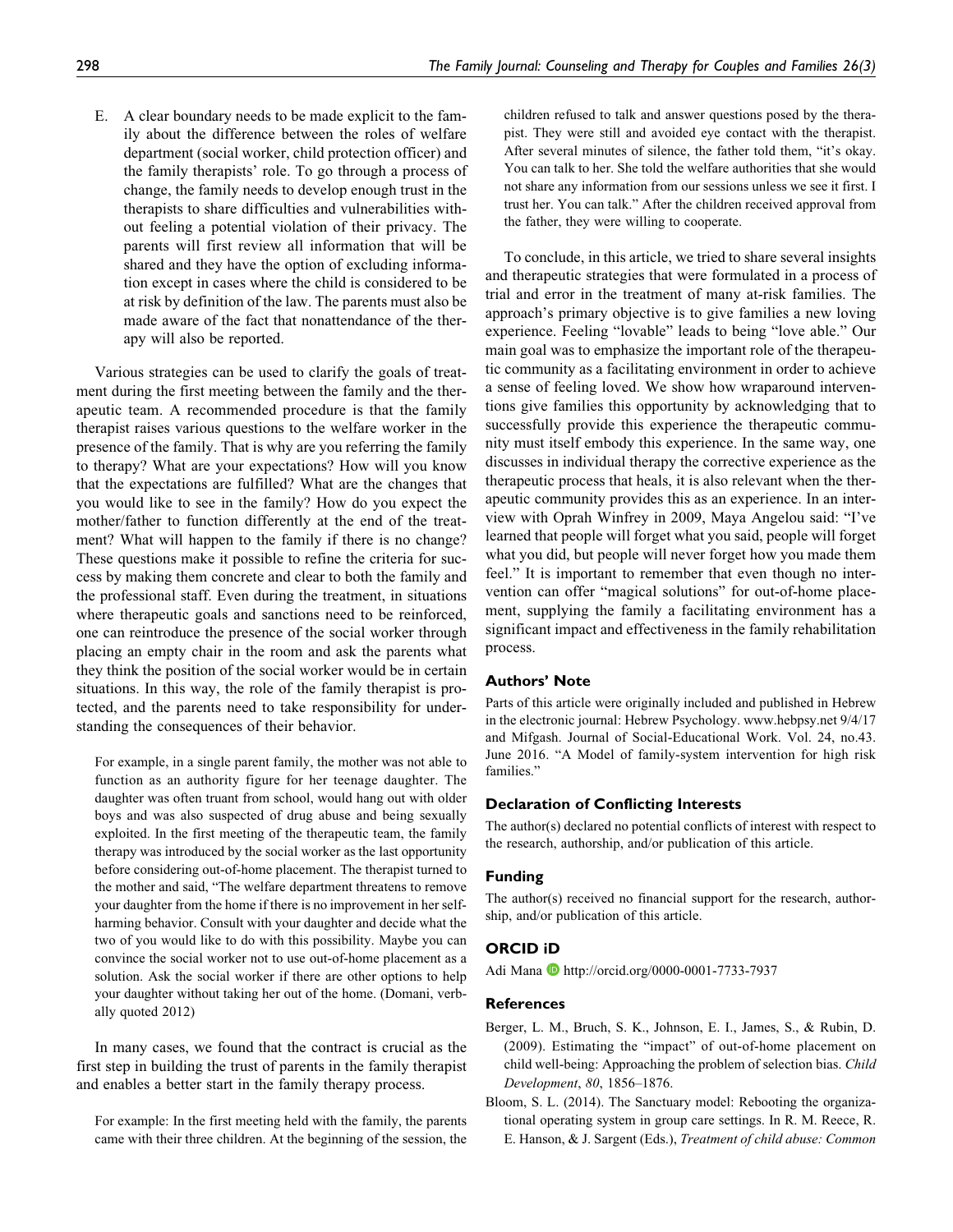E. A clear boundary needs to be made explicit to the family about the difference between the roles of welfare department (social worker, child protection officer) and the family therapists' role. To go through a process of change, the family needs to develop enough trust in the therapists to share difficulties and vulnerabilities without feeling a potential violation of their privacy. The parents will first review all information that will be shared and they have the option of excluding information except in cases where the child is considered to be at risk by definition of the law. The parents must also be made aware of the fact that nonattendance of the therapy will also be reported.

Various strategies can be used to clarify the goals of treatment during the first meeting between the family and the therapeutic team. A recommended procedure is that the family therapist raises various questions to the welfare worker in the presence of the family. That is why are you referring the family to therapy? What are your expectations? How will you know that the expectations are fulfilled? What are the changes that you would like to see in the family? How do you expect the mother/father to function differently at the end of the treatment? What will happen to the family if there is no change? These questions make it possible to refine the criteria for success by making them concrete and clear to both the family and the professional staff. Even during the treatment, in situations where therapeutic goals and sanctions need to be reinforced, one can reintroduce the presence of the social worker through placing an empty chair in the room and ask the parents what they think the position of the social worker would be in certain situations. In this way, the role of the family therapist is protected, and the parents need to take responsibility for understanding the consequences of their behavior.

For example, in a single parent family, the mother was not able to function as an authority figure for her teenage daughter. The daughter was often truant from school, would hang out with older boys and was also suspected of drug abuse and being sexually exploited. In the first meeting of the therapeutic team, the family therapy was introduced by the social worker as the last opportunity before considering out-of-home placement. The therapist turned to the mother and said, "The welfare department threatens to remove your daughter from the home if there is no improvement in her selfharming behavior. Consult with your daughter and decide what the two of you would like to do with this possibility. Maybe you can convince the social worker not to use out-of-home placement as a solution. Ask the social worker if there are other options to help your daughter without taking her out of the home. (Domani, verbally quoted 2012)

In many cases, we found that the contract is crucial as the first step in building the trust of parents in the family therapist and enables a better start in the family therapy process.

For example: In the first meeting held with the family, the parents came with their three children. At the beginning of the session, the

children refused to talk and answer questions posed by the therapist. They were still and avoided eye contact with the therapist. After several minutes of silence, the father told them, "it's okay. You can talk to her. She told the welfare authorities that she would not share any information from our sessions unless we see it first. I trust her. You can talk." After the children received approval from the father, they were willing to cooperate.

To conclude, in this article, we tried to share several insights and therapeutic strategies that were formulated in a process of trial and error in the treatment of many at-risk families. The approach's primary objective is to give families a new loving experience. Feeling "lovable" leads to being "love able." Our main goal was to emphasize the important role of the therapeutic community as a facilitating environment in order to achieve a sense of feeling loved. We show how wraparound interventions give families this opportunity by acknowledging that to successfully provide this experience the therapeutic community must itself embody this experience. In the same way, one discusses in individual therapy the corrective experience as the therapeutic process that heals, it is also relevant when the therapeutic community provides this as an experience. In an interview with Oprah Winfrey in 2009, Maya Angelou said: "I've learned that people will forget what you said, people will forget what you did, but people will never forget how you made them feel." It is important to remember that even though no intervention can offer "magical solutions" for out-of-home placement, supplying the family a facilitating environment has a significant impact and effectiveness in the family rehabilitation process.

## Authors' Note

Parts of this article were originally included and published in Hebrew in the electronic journal: Hebrew Psychology. [www.hebpsy.net](http://www.hebpsy.net) 9/4/17 and Mifgash. Journal of Social-Educational Work. Vol. 24, no.43. June 2016. "A Model of family-system intervention for high risk families."

## Declaration of Conflicting Interests

The author(s) declared no potential conflicts of interest with respect to the research, authorship, and/or publication of this article.

## Funding

The author(s) received no financial support for the research, authorship, and/or publication of this article.

## ORCID iD

Adi Mana <http://orcid.org/0000-0001-7733-7937>

#### References

- Berger, L. M., Bruch, S. K., Johnson, E. I., James, S., & Rubin, D. (2009). Estimating the "impact" of out-of-home placement on child well-being: Approaching the problem of selection bias. Child Development, 80, 1856–1876.
- Bloom, S. L. (2014). The Sanctuary model: Rebooting the organizational operating system in group care settings. In R. M. Reece, R. E. Hanson, & J. Sargent (Eds.), Treatment of child abuse: Common